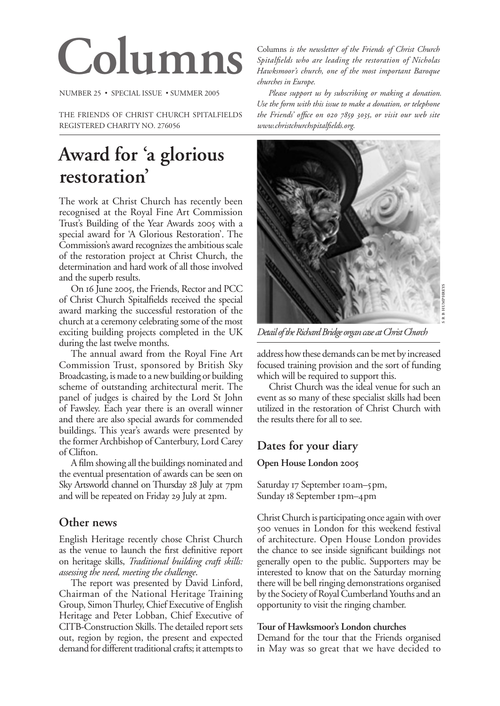# **Columns**

NUMBER 25 • SPECIAL ISSUE • SUMMER 2005

THE FRIENDS OF CHRIST CHURCH SPITALFIELDS REGISTERED CHARITY NO. 276056

# **Award for 'a glorious restoration'**

The work at Christ Church has recently been recognised at the Royal Fine Art Commission Trust's Building of the Year Awards 2005 with a special award for 'A Glorious Restoration'. The Commission's award recognizes the ambitious scale of the restoration project at Christ Church, the determination and hard work of all those involved and the superb results.

On 16 June 2005, the Friends, Rector and PCC of Christ Church Spitalfields received the special award marking the successful restoration of the church at a ceremony celebrating some of the most exciting building projects completed in the UK during the last twelve months.

The annual award from the Royal Fine Art Commission Trust, sponsored by British Sky Broadcasting, is made to a new building or building scheme of outstanding architectural merit. The panel of judges is chaired by the Lord St John of Fawsley. Each year there is an overall winner and there are also special awards for commended buildings. This year's awards were presented by the former Archbishop of Canterbury, Lord Carey of Clifton.

A film showing all the buildings nominated and the eventual presentation of awards can be seen on Sky Artsworld channel on Thursday 28 July at 7pm and will be repeated on Friday 29 July at 2pm.

### **Other news**

English Heritage recently chose Christ Church as the venue to launch the first definitive report on heritage skills, *Traditional building craft skills: assessing the need, meeting the challenge*.

The report was presented by David Linford, Chairman of the National Heritage Training Group, Simon Thurley, Chief Executive of English Heritage and Peter Lobban, Chief Executive of CITB-Construction Skills. The detailed report sets out, region by region, the present and expected demand for different traditional crafts; it attempts to

Columns *is the newsletter of the Friends of Christ Church Spitalfields who are leading the restoration of Nicholas Hawksmoor's church, one of the most important Baroque churches in Europe.*

*Please support us by subscribing or making a donation. Use the form with this issue to make a donation, or telephone the Friends' office on , or visit our web site www.christchurchspitalfields.org.*



*Detail of the Richard Bridge organ case at Christ Church* 

address how these demands can be met by increased focused training provision and the sort of funding which will be required to support this.

Christ Church was the ideal venue for such an event as so many of these specialist skills had been utilized in the restoration of Christ Church with the results there for all to see.

# **Dates for your diary**

#### **Open House London**

Saturday 17 September 10 am–5 pm, Sunday <sub>18</sub> September 1 pm–4 pm

Christ Church is participating once again with over 500 venues in London for this weekend festival of architecture. Open House London provides the chance to see inside significant buildings not generally open to the public. Supporters may be interested to know that on the Saturday morning there will be bell ringing demonstrations organised by the Society of Royal Cumberland Youths and an opportunity to visit the ringing chamber.

#### **Tour of Hawksmoor's London churches**

Demand for the tour that the Friends organised in May was so great that we have decided to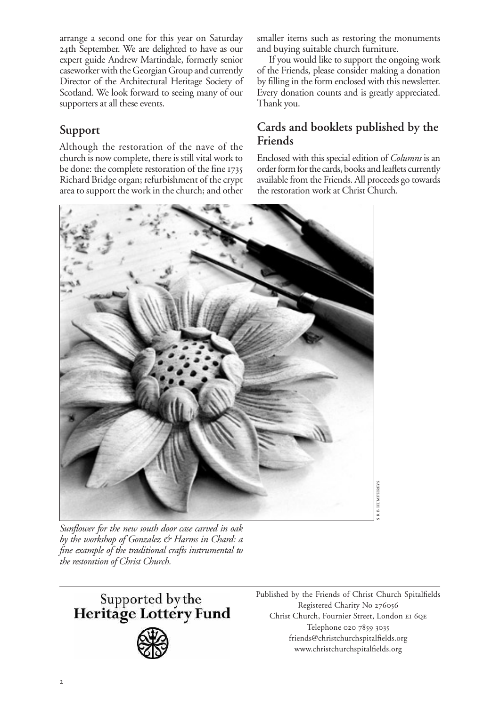arrange a second one for this year on Saturday 24th September. We are delighted to have as our expert guide Andrew Martindale, formerly senior caseworker with the Georgian Group and currently Director of the Architectural Heritage Society of Scotland. We look forward to seeing many of our supporters at all these events.

# **Support**

Although the restoration of the nave of the church is now complete, there is still vital work to be done: the complete restoration of the fine 1735 Richard Bridge organ; refurbishment of the crypt area to support the work in the church; and other smaller items such as restoring the monuments and buying suitable church furniture.

If you would like to support the ongoing work of the Friends, please consider making a donation by filling in the form enclosed with this newsletter. Every donation counts and is greatly appreciated. Thank you.

# **Cards and booklets published by the Friends**

Enclosed with this special edition of *Columns* is an order form for the cards, books and leaflets currently available from the Friends. All proceeds go towards the restoration work at Christ Church.



*Sunflower for the new south door case carved in oak by the workshop of Gonzalez & Harms in Chard: a fine example of the traditional crafts instrumental to the restoration of Christ Church.*



Published by the Friends of Christ Church Spitalfields Registered Charity No Christ Church, Fournier Street, London Telephone 020 7859 3035 friends@christchurchspitalfields.org www.christchurchspitalfields.org